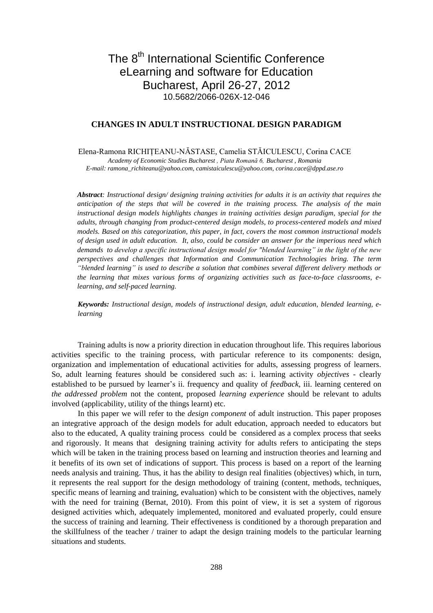# The 8<sup>th</sup> International Scientific Conference eLearning and software for Education Bucharest, April 26-27, 2012 10.5682/2066-026X-12-046

# **CHANGES IN ADULT INSTRUCTIONAL DESIGN PARADIGM**

Elena-Ramona RICHIŢEANU-NĂSTASE, Camelia STĂICULESCU, Corina CACE *Academy of Economic Studies Bucharest , Piata Romană 6, Bucharest , Romania E-mail: ramona\_richiteanu@yahoo.com, camistaiculescu@yahoo.com, corina.cace@dppd.ase.ro*

*Abstract: Instructional design/ designing training activities for adults it is an activity that requires the anticipation of the steps that will be covered in the training process. The analysis of the main instructional design models highlights changes in training activities design paradigm, special for the adults, through changing from product-centered design models, to process-centered models and mixed models. Based on this categorization, this paper, in fact, covers the most common instructional models of design used in adult education. It, also, could be consider an answer for the imperious need which demands to develop a specific instructional design model for "blended learning" in the light of the new perspectives and challenges that Information and Communication Technologies bring. The term "blended learning" is used to describe a solution that combines several different delivery methods or the learning that mixes various forms of organizing activities such as face-to-face classrooms, elearning, and self-paced learning.*

*Keywords: Instructional design, models of instructional design, adult education, blended learning, elearning*

 Training adults is now a priority direction in education throughout life. This requires laborious activities specific to the training process, with particular reference to its components: design, organization and implementation of educational activities for adults, assessing progress of learners. So, adult learning features should be considered such as: i. learning activity *objectives* - clearly established to be pursued by learner's ii. frequency and quality of *feedback*, iii. learning centered on *the addressed problem* not the content, proposed *learning experience* should be relevant to adults involved (applicability, utility of the things learnt) etc.

 In this paper we will refer to the *design component* of adult instruction. This paper proposes an integrative approach of the design models for adult education, approach needed to educators but also to the educated, A quality training process could be considered as a complex process that seeks and rigorously. It means that designing training activity for adults refers to anticipating the steps which will be taken in the training process based on learning and instruction theories and learning and it benefits of its own set of indications of support. This process is based on a report of the learning needs analysis and training. Thus, it has the ability to design real finalities (objectives) which, in turn, it represents the real support for the design methodology of training (content, methods, techniques, specific means of learning and training, evaluation) which to be consistent with the objectives, namely with the need for training (Bernat, 2010). From this point of view, it is set a system of rigorous designed activities which, adequately implemented, monitored and evaluated properly, could ensure the success of training and learning. Their effectiveness is conditioned by a thorough preparation and the skillfulness of the teacher / trainer to adapt the design training models to the particular learning situations and students.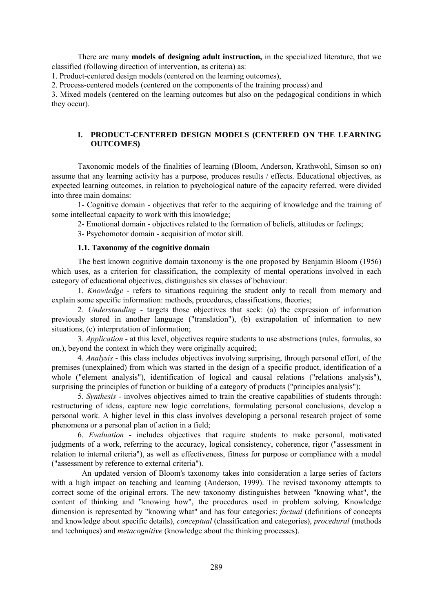There are many **models of designing adult instruction,** in the specialized literature, that we classified (following direction of intervention, as criteria) as:

1. Product-centered design models (centered on the learning outcomes),

2. Process-centered models (centered on the components of the training process) and

3. Mixed models (centered on the learning outcomes but also on the pedagogical conditions in which they occur).

# **I. PRODUCT-CENTERED DESIGN MODELS (CENTERED ON THE LEARNING OUTCOMES)**

Taxonomic models of the finalities of learning (Bloom, Anderson, Krathwohl, Simson so on) assume that any learning activity has a purpose, produces results / effects. Educational objectives, as expected learning outcomes, in relation to psychological nature of the capacity referred, were divided into three main domains:

1- Cognitive domain - objectives that refer to the acquiring of knowledge and the training of some intellectual capacity to work with this knowledge;

2- Emotional domain - objectives related to the formation of beliefs, attitudes or feelings;

3- Psychomotor domain - acquisition of motor skill.

## **1.1..Taxonomy of the cognitive domain**

The best known cognitive domain taxonomy is the one proposed by Benjamin Bloom (1956) which uses, as a criterion for classification, the complexity of mental operations involved in each category of educational objectives, distinguishes six classes of behaviour:

1. *Knowledge* - refers to situations requiring the student only to recall from memory and explain some specific information: methods, procedures, classifications, theories;

2*. Understanding* - targets those objectives that seek: (a) the expression of information previously stored in another language ("translation"), (b) extrapolation of information to new situations, (c) interpretation of information;

3. *Application* - at this level, objectives require students to use abstractions (rules, formulas, so on.), beyond the context in which they were originally acquired;

4. *Analysis* - this class includes objectives involving surprising, through personal effort, of the premises (unexplained) from which was started in the design of a specific product, identification of a whole ("element analysis"), identification of logical and causal relations ("relations analysis"), surprising the principles of function or building of a category of products ("principles analysis");

5. *Synthesis* - involves objectives aimed to train the creative capabilities of students through: restructuring of ideas, capture new logic correlations, formulating personal conclusions, develop a personal work. A higher level in this class involves developing a personal research project of some phenomena or a personal plan of action in a field;

6. *Evaluation* - includes objectives that require students to make personal, motivated judgments of a work, referring to the accuracy, logical consistency, coherence, rigor ("assessment in relation to internal criteria"), as well as effectiveness, fitness for purpose or compliance with a model ("assessment by reference to external criteria").

 An updated version of Bloom's taxonomy takes into consideration a large series of factors with a high impact on teaching and learning (Anderson, 1999). The revised taxonomy attempts to correct some of the original errors. The new taxonomy distinguishes between "knowing what", the content of thinking and "knowing how", the procedures used in problem solving. Knowledge dimension is represented by "knowing what" and has four categories: *factual* (definitions of concepts and knowledge about specific details), *conceptual* (classification and categories), *procedural* (methods and techniques) and *metacognitive* (knowledge about the thinking processes).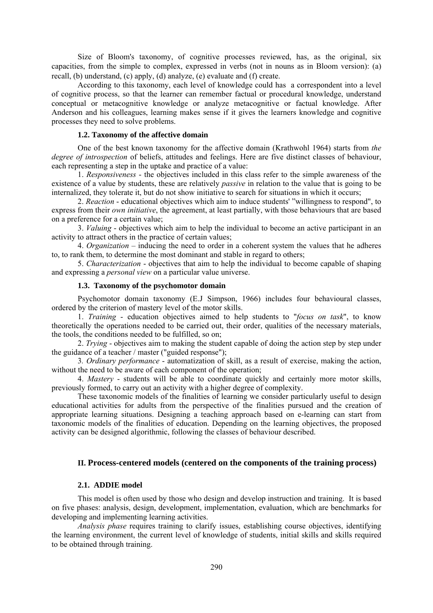Size of Bloom's taxonomy, of cognitive processes reviewed, has, as the original, six capacities, from the simple to complex, expressed in verbs (not in nouns as in Bloom version): (a) recall, (b) understand, (c) apply, (d) analyze, (e) evaluate and (f) create.

According to this taxonomy, each level of knowledge could has a correspondent into a level of cognitive process, so that the learner can remember factual or procedural knowledge, understand conceptual or metacognitive knowledge or analyze metacognitive or factual knowledge. After Anderson and his colleagues, learning makes sense if it gives the learners knowledge and cognitive processes they need to solve problems.

### **1.2..Taxonomy of the affective domain**

 One of the best known taxonomy for the affective domain (Krathwohl 1964) starts from *the degree of introspection* of beliefs, attitudes and feelings. Here are five distinct classes of behaviour, each representing a step in the uptake and practice of a value:

 1. *Responsiveness* - the objectives included in this class refer to the simple awareness of the existence of a value by students, these are relatively *passive* in relation to the value that is going to be internalized, they tolerate it, but do not show initiative to search for situations in which it occurs;

 2. *Reaction* - educational objectives which aim to induce students' "willingness to respond", to express from their *own initiative*, the agreement, at least partially, with those behaviours that are based on a preference for a certain value;

 3. *Valuing* - objectives which aim to help the individual to become an active participant in an activity to attract others in the practice of certain values;

 4. *Organization* – inducing the need to order in a coherent system the values that he adheres to, to rank them, to determine the most dominant and stable in regard to others;

 5. *Characterization* - objectives that aim to help the individual to become capable of shaping and expressing a *personal view* on a particular value universe.

## **1.3. Taxonomy of the psychomotor domain**

Psychomotor domain taxonomy (E.J Simpson, 1966) includes four behavioural classes, ordered by the criterion of mastery level of the motor skills.

 1. *Training* - education objectives aimed to help students to "*focus on task*", to know theoretically the operations needed to be carried out, their order, qualities of the necessary materials, the tools, the conditions needed to be fulfilled, so on;

 2. *Trying* - objectives aim to making the student capable of doing the action step by step under the guidance of a teacher / master ("guided response");

 3*. Ordinary performance* - automatization of skill, as a result of exercise, making the action, without the need to be aware of each component of the operation;

 4. *Mastery* - students will be able to coordinate quickly and certainly more motor skills, previously formed, to carry out an activity with a higher degree of complexity.

 These taxonomic models of the finalities of learning we consider particularly useful to design educational activities for adults from the perspective of the finalities pursued and the creation of appropriate learning situations. Designing a teaching approach based on e-learning can start from taxonomic models of the finalities of education. Depending on the learning objectives, the proposed activity can be designed algorithmic, following the classes of behaviour described.

# **II. Process-centered models (centered on the components of the training process)**

## 2.1. ADDIE model

 This model is often used by those who design and develop instruction and training. It is based on five phases: analysis, design, development, implementation, evaluation, which are benchmarks for developing and implementing learning activities.

*Analysis phase* requires training to clarify issues, establishing course objectives, identifying the learning environment, the current level of knowledge of students, initial skills and skills required to be obtained through training.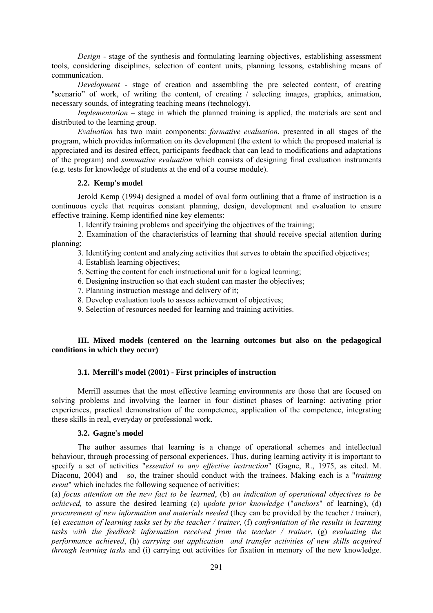*Design* - stage of the synthesis and formulating learning objectives, establishing assessment tools, considering disciplines, selection of content units, planning lessons, establishing means of communication.

*Development* - stage of creation and assembling the pre selected content, of creating "scenario" of work, of writing the content, of creating / selecting images, graphics, animation, necessary sounds, of integrating teaching means (technology).

*Implementation* – stage in which the planned training is applied, the materials are sent and distributed to the learning group.

*Evaluation* has two main components: *formative evaluation*, presented in all stages of the program, which provides information on its development (the extent to which the proposed material is appreciated and its desired effect, participants feedback that can lead to modifications and adaptations of the program) and *summative evaluation* which consists of designing final evaluation instruments (e.g. tests for knowledge of students at the end of a course module).

## 2.2. **Kemp's model**

 Jerold Kemp (1994) designed a model of oval form outlining that a frame of instruction is a continuous cycle that requires constant planning, design, development and evaluation to ensure effective training. Kemp identified nine key elements:

1. Identify training problems and specifying the objectives of the training;

 2. Examination of the characteristics of learning that should receive special attention during planning;

3. Identifying content and analyzing activities that serves to obtain the specified objectives;

4. Establish learning objectives;

5. Setting the content for each instructional unit for a logical learning;

6. Designing instruction so that each student can master the objectives;

7. Planning instruction message and delivery of it;

8. Develop evaluation tools to assess achievement of objectives;

9. Selection of resources needed for learning and training activities.

# **III. Mixed models (centered on the learning outcomes but also on the pedagogical conditions in which they occur)**

# **3.1. Merrill's model (2001) - First principles of instruction**

 Merrill assumes that the most effective learning environments are those that are focused on solving problems and involving the learner in four distinct phases of learning: activating prior experiences, practical demonstration of the competence, application of the competence, integrating these skills in real, everyday or professional work.

## **3.2. Gagne's model**

 The author assumes that learning is a change of operational schemes and intellectual behaviour, through processing of personal experiences. Thus, during learning activity it is important to specify a set of activities "*essential to any effective instruction*" (Gagne, R., 1975, as cited. M. Diaconu, 2004) and so, the trainer should conduct with the trainees. Making each is a "*training event*" which includes the following sequence of activities:

(a) *focus attention on the new fact to be learned*, (b) *an indication of operational objectives to be achieved,* to assure the desired learning (c) *update prior knowledge* ("*anchors*" of learning), (d) *procurement of new information and materials needed* (they can be provided by the teacher / trainer), (e) *execution of learning tasks set by the teacher / trainer*, (f) *confrontation of the results in learning tasks with the feedback information received from the teacher / trainer*, (g) *evaluating the performance achieved*, (h) *carrying out application and transfer activities of new skills acquired through learning tasks* and (i) carrying out activities for fixation in memory of the new knowledge.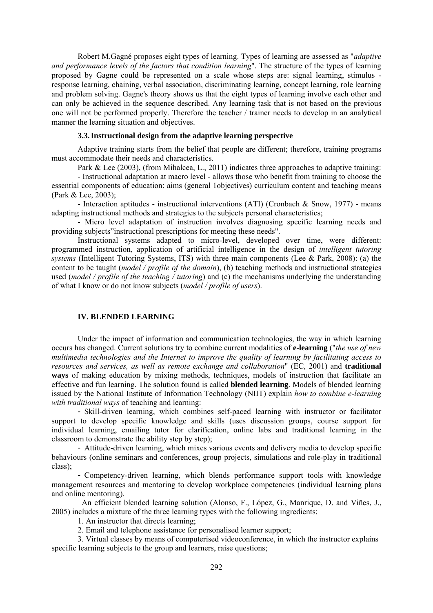Robert M.Gagné proposes eight types of learning. Types of learning are assessed as "*adaptive and performance levels of the factors that condition learning*". The structure of the types of learning proposed by Gagne could be represented on a scale whose steps are: signal learning, stimulus response learning, chaining, verbal association, discriminating learning, concept learning, role learning and problem solving. Gagne's theory shows us that the eight types of learning involve each other and can only be achieved in the sequence described. Any learning task that is not based on the previous one will not be performed properly. Therefore the teacher / trainer needs to develop in an analytical manner the learning situation and objectives.

# **3.3. Instructional design from the adaptive learning perspective**

 Adaptive training starts from the belief that people are different; therefore, training programs must accommodate their needs and characteristics.

Park & Lee (2003), (from Mihalcea, L., 2011) indicates three approaches to adaptive training:

 - Instructional adaptation at macro level - allows those who benefit from training to choose the essential components of education: aims (general 1objectives) curriculum content and teaching means (Park & Lee, 2003);

 - Interaction aptitudes - instructional interventions (ATI) (Cronbach & Snow, 1977) - means adapting instructional methods and strategies to the subjects personal characteristics;

- Micro level adaptation of instruction involves diagnosing specific learning needs and providing subjects"instructional prescriptions for meeting these needs".

 Instructional systems adapted to micro-level, developed over time, were different: programmed instruction, application of artificial intelligence in the design of *intelligent tutoring systems* (Intelligent Tutoring Systems, ITS) with three main components (Lee & Park, 2008): (a) the content to be taught (*model / profile of the domain*), (b) teaching methods and instructional strategies used (*model / profile of the teaching / tutoring*) and (c) the mechanisms underlying the understanding of what I know or do not know subjects (*model / profile of users*).

#### **IV. BLENDED LEARNING**

Under the impact of information and communication technologies, the way in which learning occurs has changed. Current solutions try to combine current modalities of **e-learning** ("*the use of new multimedia technologies and the Internet to improve the quality of learning by facilitating access to resources and services, as well as remote exchange and collaboration*" (EC, 2001) and **traditional ways** of making education by mixing methods, techniques, models of instruction that facilitate an effective and fun learning. The solution found is called **blended learning**. Models of blended learning issued by the National Institute of Information Technology (NIIT) explain *how to combine e-learning with traditional ways* of teaching and learning:

- Skill-driven learning, which combines self-paced learning with instructor or facilitator support to develop specific knowledge and skills (uses discussion groups, course support for individual learning, emailing tutor for clarification, online labs and traditional learning in the classroom to demonstrate the ability step by step);

- Attitude-driven learning, which mixes various events and delivery media to develop specific behaviours (online seminars and conferences, group projects, simulations and role-play in traditional class);

- Competency-driven learning, which blends performance support tools with knowledge management resources and mentoring to develop workplace competencies (individual learning plans and online mentoring).

 An efficient blended learning solution (Alonso, F., López, G., Manrique, D. and Viñes, J., 2005) includes a mixture of the three learning types with the following ingredients:

1. An instructor that directs learning;

2. Email and telephone assistance for personalised learner support;

3. Virtual classes by means of computerised videoconference, in which the instructor explains specific learning subjects to the group and learners, raise questions;